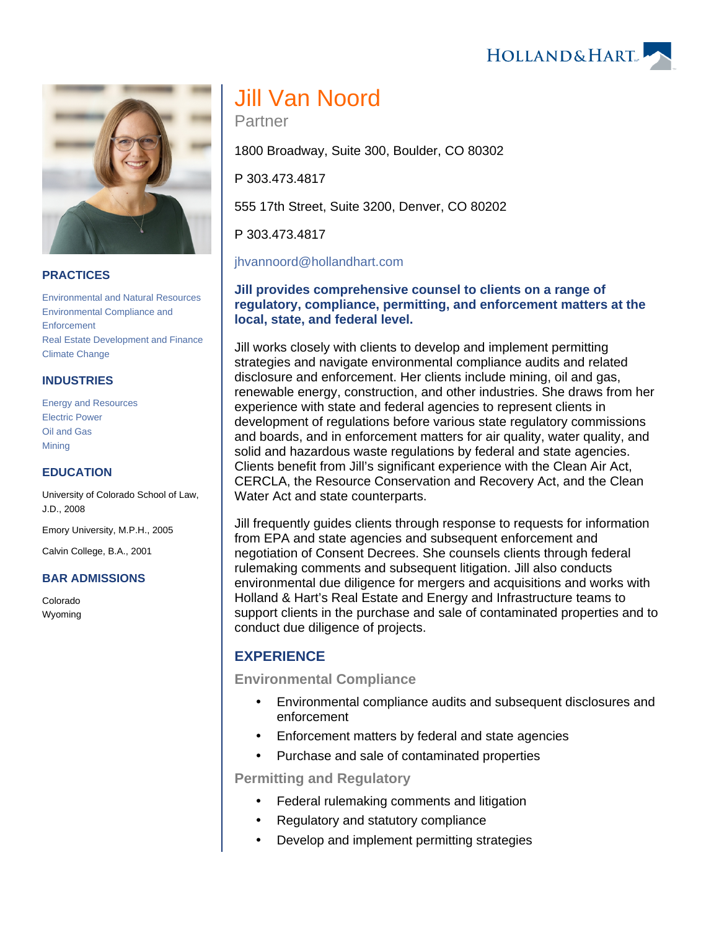HOLLAND& HART



#### **PRACTICES**

[Environmental and Natural Resources](https://www.hollandhart.com/19667) [Environmental Compliance and](https://www.hollandhart.com/19693)  **[Enforcement](https://www.hollandhart.com/19693)** [Real Estate Development and Finance](https://www.hollandhart.com/19761) [Climate Change](https://www.hollandhart.com/41566)

#### **INDUSTRIES**

[Energy and Resources](https://www.hollandhart.com/28508) [Electric Power](https://www.hollandhart.com/19737) [Oil and Gas](https://www.hollandhart.com/19705) **[Mining](https://www.hollandhart.com/19708)** 

#### **EDUCATION**

University of Colorado School of Law, J.D., 2008

Emory University, M.P.H., 2005

Calvin College, B.A., 2001

#### **BAR ADMISSIONS**

Colorado Wyoming

# Jill Van Noord

Partner

1800 Broadway, Suite 300, Boulder, CO 80302

P 303.473.4817

555 17th Street, Suite 3200, Denver, CO 80202

P 303.473.4817

[jhvannoord@hollandhart.com](mailto:jhvannoord@hollandhart.com)

#### **Jill provides comprehensive counsel to clients on a range of regulatory, compliance, permitting, and enforcement matters at the local, state, and federal level.**

Jill works closely with clients to develop and implement permitting strategies and navigate environmental compliance audits and related disclosure and enforcement. Her clients include mining, oil and gas, renewable energy, construction, and other industries. She draws from her experience with state and federal agencies to represent clients in development of regulations before various state regulatory commissions and boards, and in enforcement matters for air quality, water quality, and solid and hazardous waste regulations by federal and state agencies. Clients benefit from Jill's significant experience with the Clean Air Act, CERCLA, the Resource Conservation and Recovery Act, and the Clean Water Act and state counterparts.

Jill frequently guides clients through response to requests for information from EPA and state agencies and subsequent enforcement and negotiation of Consent Decrees. She counsels clients through federal rulemaking comments and subsequent litigation. Jill also conducts environmental due diligence for mergers and acquisitions and works with Holland & Hart's Real Estate and Energy and Infrastructure teams to support clients in the purchase and sale of contaminated properties and to conduct due diligence of projects.

# **EXPERIENCE**

#### **Environmental Compliance**

- Environmental compliance audits and subsequent disclosures and enforcement
- Enforcement matters by federal and state agencies
- Purchase and sale of contaminated properties

**Permitting and Regulatory**

- Federal rulemaking comments and litigation
- Regulatory and statutory compliance
- Develop and implement permitting strategies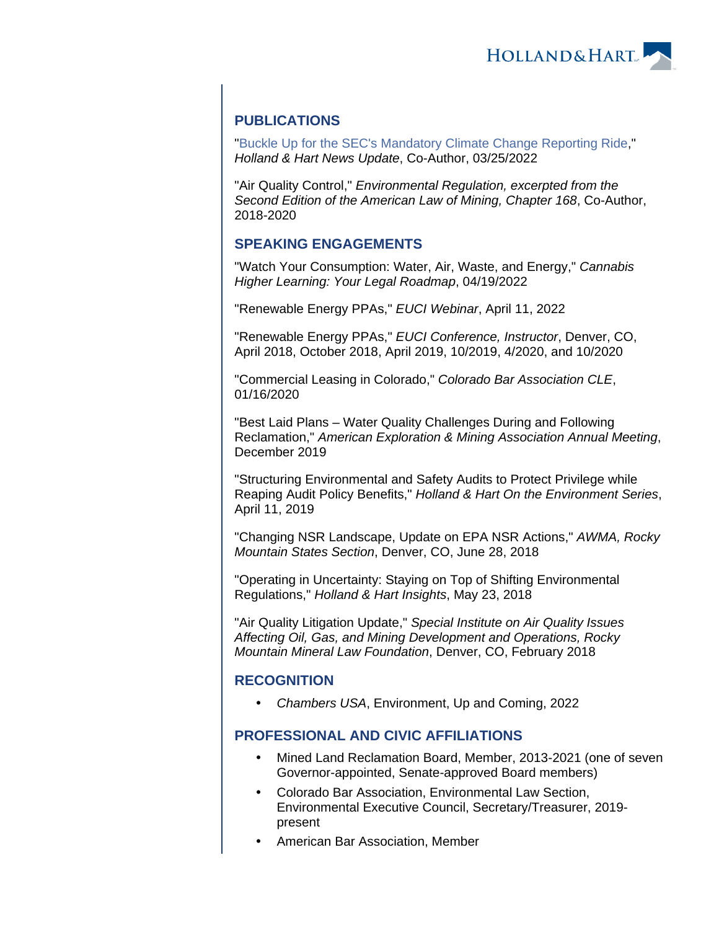HOLLAND& HART

# **PUBLICATIONS**

"[Buckle Up for the SEC's Mandatory Climate Change Reporting Ride,](https://www.hollandhart.com/42200)" Holland & Hart News Update, Co-Author, 03/25/2022

"Air Quality Control," Environmental Regulation, excerpted from the Second Edition of the American Law of Mining, Chapter 168, Co-Author, 2018-2020

# **SPEAKING ENGAGEMENTS**

"Watch Your Consumption: Water, Air, Waste, and Energy," Cannabis Higher Learning: Your Legal Roadmap, 04/19/2022

"Renewable Energy PPAs," EUCI Webinar, April 11, 2022

"Renewable Energy PPAs," EUCI Conference, Instructor, Denver, CO, April 2018, October 2018, April 2019, 10/2019, 4/2020, and 10/2020

"Commercial Leasing in Colorado," Colorado Bar Association CLE, 01/16/2020

"Best Laid Plans – Water Quality Challenges During and Following Reclamation," American Exploration & Mining Association Annual Meeting, December 2019

"Structuring Environmental and Safety Audits to Protect Privilege while Reaping Audit Policy Benefits," Holland & Hart On the Environment Series, April 11, 2019

"Changing NSR Landscape, Update on EPA NSR Actions," AWMA, Rocky Mountain States Section, Denver, CO, June 28, 2018

"Operating in Uncertainty: Staying on Top of Shifting Environmental Regulations," Holland & Hart Insights, May 23, 2018

"Air Quality Litigation Update," Special Institute on Air Quality Issues Affecting Oil, Gas, and Mining Development and Operations, Rocky Mountain Mineral Law Foundation, Denver, CO, February 2018

# **RECOGNITION**

Chambers USA, Environment, Up and Coming, 2022

# **PROFESSIONAL AND CIVIC AFFILIATIONS**

- Mined Land Reclamation Board, Member, 2013-2021 (one of seven Governor-appointed, Senate-approved Board members)
- Colorado Bar Association, Environmental Law Section, Environmental Executive Council, Secretary/Treasurer, 2019 present
- American Bar Association, Member